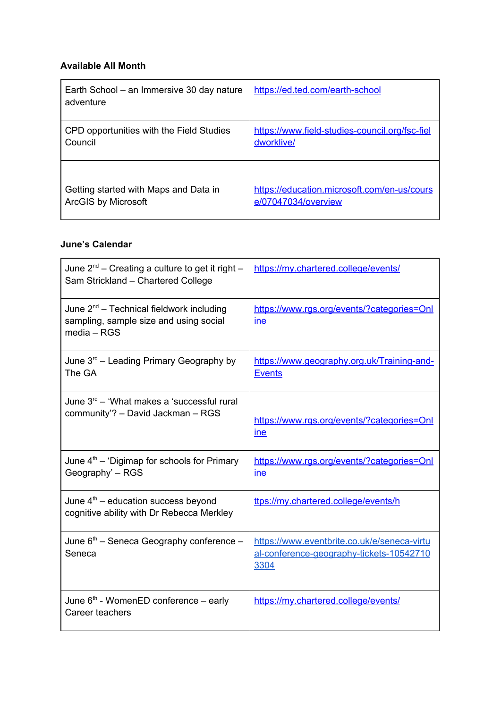## **Available All Month**

| Earth School – an Immersive 30 day nature<br>adventure | https://ed.ted.com/earth-school                |
|--------------------------------------------------------|------------------------------------------------|
| CPD opportunities with the Field Studies               | https://www.field-studies-council.org/fsc-fiel |
| Council                                                | dworklive/                                     |
| Getting started with Maps and Data in                  | https://education.microsoft.com/en-us/cours    |
| <b>ArcGIS by Microsoft</b>                             | e/07047034/overview                            |

## **June's Calendar**

| June $2^{nd}$ – Creating a culture to get it right –<br>Sam Strickland - Chartered College               | https://my.chartered.college/events/                                                            |
|----------------------------------------------------------------------------------------------------------|-------------------------------------------------------------------------------------------------|
| June $2^{nd}$ – Technical fieldwork including<br>sampling, sample size and using social<br>$media - RGS$ | https://www.rgs.org/events/?categories=Onl<br><u>ine</u>                                        |
| June $3^{rd}$ – Leading Primary Geography by<br>The GA                                                   | https://www.geography.org.uk/Training-and-<br><b>Events</b>                                     |
| June 3 <sup>rd</sup> – 'What makes a 'successful rural<br>community'? - David Jackman - RGS              | https://www.rgs.org/events/?categories=Onl<br>ine                                               |
| June 4 <sup>th</sup> - 'Digimap for schools for Primary<br>Geography' - RGS                              | https://www.rgs.org/events/?categories=Onl<br>ine                                               |
| June $4th$ – education success beyond<br>cognitive ability with Dr Rebecca Merkley                       | ttps://my.chartered.college/events/h                                                            |
| June $6th$ – Seneca Geography conference –<br>Seneca                                                     | https://www.eventbrite.co.uk/e/seneca-virtu<br>al-conference-geography-tickets-10542710<br>3304 |
| June 6 <sup>th</sup> - WomenED conference - early<br>Career teachers                                     | https://my.chartered.college/events/                                                            |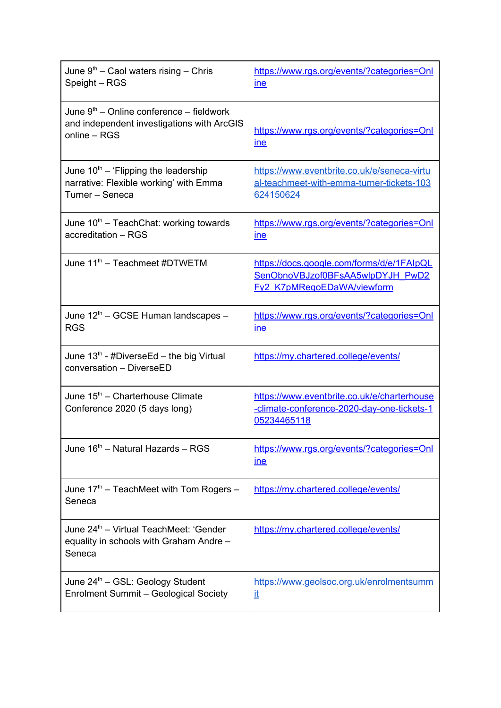| June $9th$ – Caol waters rising – Chris<br>Speight – RGS                                                 | https://www.rgs.org/events/?categories=Onl<br><u>ine</u>                                                           |
|----------------------------------------------------------------------------------------------------------|--------------------------------------------------------------------------------------------------------------------|
| June $9th$ – Online conference – fieldwork<br>and independent investigations with ArcGIS<br>online - RGS | https://www.rgs.org/events/?categories=Onl<br><u>ine</u>                                                           |
| June $10^{th}$ – 'Flipping the leadership<br>narrative: Flexible working' with Emma<br>Turner - Seneca   | https://www.eventbrite.co.uk/e/seneca-virtu<br>al-teachmeet-with-emma-turner-tickets-103<br>624150624              |
| June $10th$ – TeachChat: working towards<br>accreditation - RGS                                          | https://www.rgs.org/events/?categories=Onl<br><u>ine</u>                                                           |
| June 11 <sup>th</sup> - Teachmeet #DTWETM                                                                | https://docs.google.com/forms/d/e/1FAlpQL<br>SenObnoVBJzof0BFsAA5wlpDYJH_PwD2<br><b>Fy2 K7pMRegoEDaWA/viewform</b> |
| June 12 <sup>th</sup> – GCSE Human landscapes –<br><b>RGS</b>                                            | https://www.rgs.org/events/?categories=Onl<br>ine                                                                  |
| June $13th$ - #DiverseEd – the big Virtual<br>conversation - DiverseED                                   | https://my.chartered.college/events/                                                                               |
| June 15 <sup>th</sup> – Charterhouse Climate<br>Conference 2020 (5 days long)                            | https://www.eventbrite.co.uk/e/charterhouse<br>-climate-conference-2020-day-one-tickets-1<br>05234465118           |
| June 16 <sup>th</sup> - Natural Hazards - RGS                                                            | https://www.rgs.org/events/?categories=Onl<br><u>ine</u>                                                           |
| June $17th$ – TeachMeet with Tom Rogers –<br>Seneca                                                      | https://my.chartered.college/events/                                                                               |
| June 24 <sup>th</sup> – Virtual TeachMeet: 'Gender<br>equality in schools with Graham Andre -<br>Seneca  | https://my.chartered.college/events/                                                                               |
| June 24 <sup>th</sup> – GSL: Geology Student<br><b>Enrolment Summit - Geological Society</b>             | https://www.geolsoc.org.uk/enrolmentsumm<br>it                                                                     |